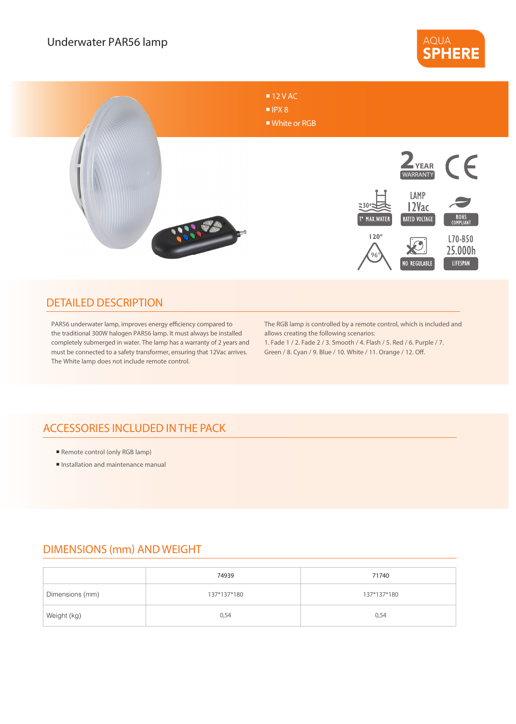



#### DETAILED DESCRIPTION

PAR56 underwater lamp, improves energy efficiency compared to the traditional 300W halogen PAR56 lamp. It must always be installed completely submerged in water. The lamp has a warranty of 2 years and must be connected to a safety transformer, ensuring that 12Vac arrives. The White lamp does not include remote control.

The RGB lamp is controlled by a remote control, which is included and allows creating the following scenarios:

1. Fade 1 / 2. Fade 2 / 3. Smooth / 4. Flash / 5. Red / 6. Purple / 7. Green / 8. Cyan / 9. Blue / 10. White / 11. Orange / 12. Off.

## ACCESSORIES INCLUDED IN THE PACK

- Remote control (only RGB lamp)
- **Installation and maintenance manual**

### DIMENSIONS (mm) AND WEIGHT

|                 | 74939       | 71740       |
|-----------------|-------------|-------------|
| Dimensions (mm) | 137*137*180 | 137*137*180 |
| Weight (kg)     | 0,54        | 0,54        |